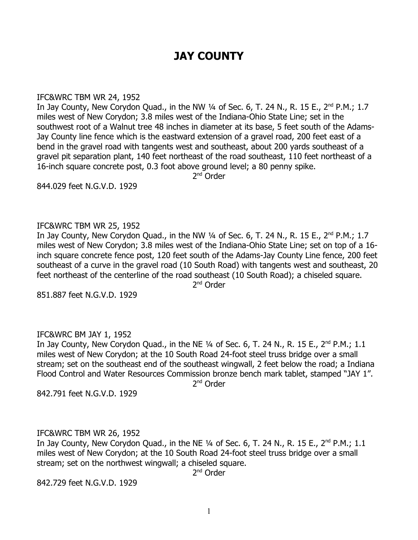# **JAY COUNTY**

#### IFC&WRC TBM WR 24, 1952

In Jay County, New Corydon Quad., in the NW  $\frac{1}{4}$  of Sec. 6, T. 24 N., R. 15 E., 2<sup>nd</sup> P.M.; 1.7 miles west of New Corydon; 3.8 miles west of the Indiana-Ohio State Line; set in the southwest root of a Walnut tree 48 inches in diameter at its base, 5 feet south of the Adams-Jay County line fence which is the eastward extension of a gravel road, 200 feet east of a bend in the gravel road with tangents west and southeast, about 200 yards southeast of a gravel pit separation plant, 140 feet northeast of the road southeast, 110 feet northeast of a 16-inch square concrete post, 0.3 foot above ground level; a 80 penny spike.

2<sup>nd</sup> Order

844.029 feet N.G.V.D. 1929

## IFC&WRC TBM WR 25, 1952

In Jay County, New Corydon Quad., in the NW  $\frac{1}{4}$  of Sec. 6, T. 24 N., R. 15 E., 2<sup>nd</sup> P.M.; 1.7 miles west of New Corydon; 3.8 miles west of the Indiana-Ohio State Line; set on top of a 16 inch square concrete fence post, 120 feet south of the Adams-Jay County Line fence, 200 feet southeast of a curve in the gravel road (10 South Road) with tangents west and southeast, 20 feet northeast of the centerline of the road southeast (10 South Road); a chiseled square. 2<sup>nd</sup> Order

851.887 feet N.G.V.D. 1929

## IFC&WRC BM JAY 1, 1952

In Jay County, New Corydon Quad., in the NE  $\frac{1}{4}$  of Sec. 6, T. 24 N., R. 15 E., 2<sup>nd</sup> P.M.; 1.1 miles west of New Corydon; at the 10 South Road 24-foot steel truss bridge over a small stream; set on the southeast end of the southeast wingwall, 2 feet below the road; a Indiana Flood Control and Water Resources Commission bronze bench mark tablet, stamped "JAY 1". 2<sup>nd</sup> Order

842.791 feet N.G.V.D. 1929

# IFC&WRC TBM WR 26, 1952

In Jay County, New Corydon Quad., in the NE  $\frac{1}{4}$  of Sec. 6, T. 24 N., R. 15 E., 2<sup>nd</sup> P.M.; 1.1 miles west of New Corydon; at the 10 South Road 24-foot steel truss bridge over a small stream; set on the northwest wingwall; a chiseled square.

2<sup>nd</sup> Order

842.729 feet N.G.V.D. 1929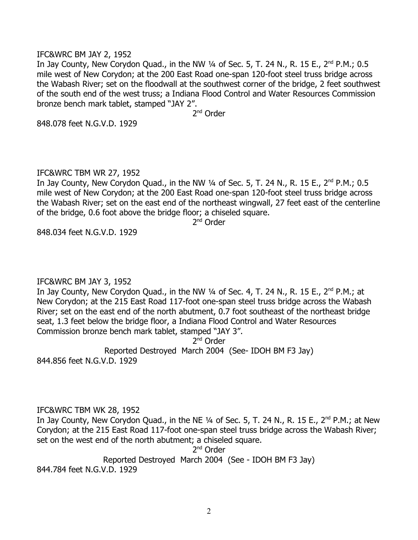#### IFC&WRC BM JAY 2, 1952

In Jay County, New Corydon Quad., in the NW  $\frac{1}{4}$  of Sec. 5, T. 24 N., R. 15 E., 2<sup>nd</sup> P.M.; 0.5 mile west of New Corydon; at the 200 East Road one-span 120-foot steel truss bridge across the Wabash River; set on the floodwall at the southwest corner of the bridge, 2 feet southwest of the south end of the west truss; a Indiana Flood Control and Water Resources Commission bronze bench mark tablet, stamped "JAY 2".

2<sup>nd</sup> Order

848.078 feet N.G.V.D. 1929

## IFC&WRC TBM WR 27, 1952

In Jay County, New Corydon Quad., in the NW  $\frac{1}{4}$  of Sec. 5, T. 24 N., R. 15 E., 2<sup>nd</sup> P.M.; 0.5 mile west of New Corydon; at the 200 East Road one-span 120-foot steel truss bridge across the Wabash River; set on the east end of the northeast wingwall, 27 feet east of the centerline of the bridge, 0.6 foot above the bridge floor; a chiseled square.

2<sup>nd</sup> Order

848.034 feet N.G.V.D. 1929

## IFC&WRC BM JAY 3, 1952

In Jay County, New Corydon Quad., in the NW 1/4 of Sec. 4, T. 24 N., R. 15 E., 2<sup>nd</sup> P.M.; at New Corydon; at the 215 East Road 117-foot one-span steel truss bridge across the Wabash River; set on the east end of the north abutment, 0.7 foot southeast of the northeast bridge seat, 1.3 feet below the bridge floor, a Indiana Flood Control and Water Resources Commission bronze bench mark tablet, stamped "JAY 3".

2<sup>nd</sup> Order

Reported Destroyed March 2004 (See- IDOH BM F3 Jay) 844.856 feet N.G.V.D. 1929

# IFC&WRC TBM WK 28, 1952

In Jay County, New Corydon Quad., in the NE  $\frac{1}{4}$  of Sec. 5, T. 24 N., R. 15 E., 2<sup>nd</sup> P.M.; at New Corydon; at the 215 East Road 117-foot one-span steel truss bridge across the Wabash River; set on the west end of the north abutment; a chiseled square.

2<sup>nd</sup> Order

Reported Destroyed March 2004 (See - IDOH BM F3 Jay)

844.784 feet N.G.V.D. 1929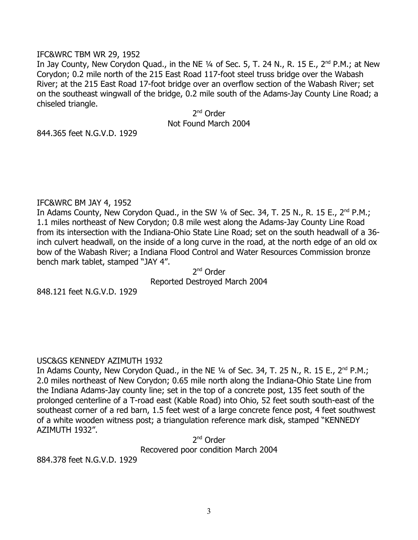## IFC&WRC TBM WR 29, 1952

In Jay County, New Corydon Quad., in the NE  $\frac{1}{4}$  of Sec. 5, T. 24 N., R. 15 E., 2<sup>nd</sup> P.M.; at New Corydon; 0.2 mile north of the 215 East Road 117-foot steel truss bridge over the Wabash River; at the 215 East Road 17-foot bridge over an overflow section of the Wabash River; set on the southeast wingwall of the bridge, 0.2 mile south of the Adams-Jay County Line Road; a chiseled triangle.

> 2<sup>nd</sup> Order Not Found March 2004

844.365 feet N.G.V.D. 1929

#### IFC&WRC BM JAY 4, 1952

In Adams County, New Corydon Quad., in the SW  $\frac{1}{4}$  of Sec. 34, T. 25 N., R. 15 E., 2<sup>nd</sup> P.M.; 1.1 miles northeast of New Corydon; 0.8 mile west along the Adams-Jay County Line Road from its intersection with the Indiana-Ohio State Line Road; set on the south headwall of a 36 inch culvert headwall, on the inside of a long curve in the road, at the north edge of an old ox bow of the Wabash River; a Indiana Flood Control and Water Resources Commission bronze bench mark tablet, stamped "JAY 4".

2<sup>nd</sup> Order Reported Destroyed March 2004

848.121 feet N.G.V.D. 1929

## USC&GS KENNEDY AZIMUTH 1932

In Adams County, New Corydon Quad., in the NE 1/4 of Sec. 34, T. 25 N., R. 15 E., 2<sup>nd</sup> P.M.; 2.0 miles northeast of New Corydon; 0.65 mile north along the Indiana-Ohio State Line from the Indiana Adams-Jay county line; set in the top of a concrete post, 135 feet south of the prolonged centerline of a T-road east (Kable Road) into Ohio, 52 feet south south-east of the southeast corner of a red barn, 1.5 feet west of a large concrete fence post, 4 feet southwest of a white wooden witness post; a triangulation reference mark disk, stamped "KENNEDY AZIMUTH 1932".

> 2<sup>nd</sup> Order Recovered poor condition March 2004

884.378 feet N.G.V.D. 1929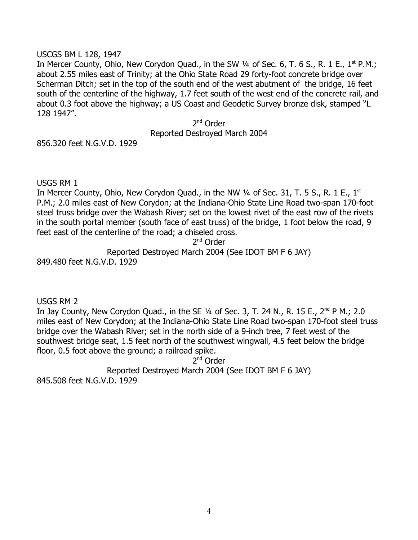## USCGS BM L 128, 1947

In Mercer County, Ohio, New Corydon Quad., in the SW  $\frac{1}{4}$  of Sec. 6, T. 6 S., R. 1 E., 1<sup>st</sup> P.M.; about 2.55 miles east of Trinity; at the Ohio State Road 29 forty-foot concrete bridge over Scherman Ditch; set in the top of the south end of the west abutment of the bridge, 16 feet south of the centerline of the highway, 1.7 feet south of the west end of the concrete rail, and about 0.3 foot above the highway; a US Coast and Geodetic Survey bronze disk, stamped "L 128 1947".

> 2<sup>nd</sup> Order Reported Destroyed March 2004

856.320 feet N.G.V.D. 1929

## USGS RM 1

In Mercer County, Ohio, New Corydon Quad., in the NW  $\frac{1}{4}$  of Sec. 31, T. 5 S., R. 1 E., 1<sup>st</sup> P.M.; 2.0 miles east of New Corydon; at the Indiana-Ohio State Line Road two-span 170-foot steel truss bridge over the Wabash River; set on the lowest rivet of the east row of the rivets in the south portal member (south face of east truss) of the bridge, 1 foot below the road, 9 feet east of the centerline of the road; a chiseled cross.

2<sup>nd</sup> Order

Reported Destroyed March 2004 (See IDOT BM F 6 JAY)

849.480 feet N.G.V.D. 1929

USGS RM 2

In Jay County, New Corydon Quad., in the SE 1/4 of Sec. 3, T. 24 N., R. 15 E., 2<sup>nd</sup> P M.; 2.0 miles east of New Corydon; at the Indiana-Ohio State Line Road two-span 170-foot steel truss bridge over the Wabash River; set in the north side of a 9-inch tree, 7 feet west of the southwest bridge seat, 1.5 feet north of the southwest wingwall, 4.5 feet below the bridge floor, 0.5 foot above the ground; a railroad spike.

2<sup>nd</sup> Order

Reported Destroyed March 2004 (See IDOT BM F 6 JAY)

845.508 feet N.G.V.D. 1929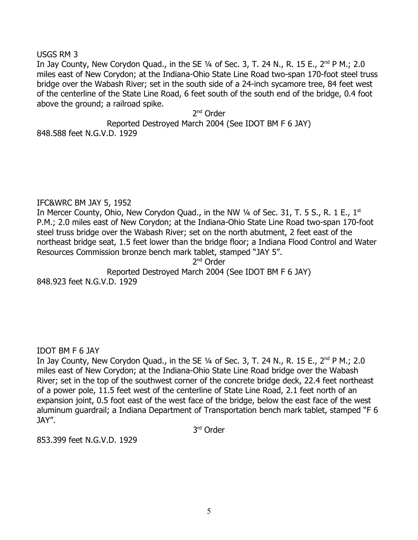USGS RM 3

In Jay County, New Corydon Quad., in the SE  $\frac{1}{4}$  of Sec. 3, T. 24 N., R. 15 E., 2<sup>nd</sup> P M.; 2.0 miles east of New Corydon; at the Indiana-Ohio State Line Road two-span 170-foot steel truss bridge over the Wabash River; set in the south side of a 24-inch sycamore tree, 84 feet west of the centerline of the State Line Road, 6 feet south of the south end of the bridge, 0.4 foot above the ground; a railroad spike.

2<sup>nd</sup> Order

Reported Destroyed March 2004 (See IDOT BM F 6 JAY)

848.588 feet N.G.V.D. 1929

# IFC&WRC BM JAY 5, 1952

In Mercer County, Ohio, New Corydon Quad., in the NW  $\frac{1}{4}$  of Sec. 31, T. 5 S., R. 1 E., 1<sup>st</sup> P.M.; 2.0 miles east of New Corydon; at the Indiana-Ohio State Line Road two-span 170-foot steel truss bridge over the Wabash River; set on the north abutment, 2 feet east of the northeast bridge seat, 1.5 feet lower than the bridge floor; a Indiana Flood Control and Water Resources Commission bronze bench mark tablet, stamped "JAY 5".

2<sup>nd</sup> Order

Reported Destroyed March 2004 (See IDOT BM F 6 JAY) 848.923 feet N.G.V.D. 1929

IDOT BM F 6 JAY

In Jay County, New Corydon Quad., in the SE  $\frac{1}{4}$  of Sec. 3, T. 24 N., R. 15 E., 2<sup>nd</sup> P M.; 2.0 miles east of New Corydon; at the Indiana-Ohio State Line Road bridge over the Wabash River; set in the top of the southwest corner of the concrete bridge deck, 22.4 feet northeast of a power pole, 11.5 feet west of the centerline of State Line Road, 2.1 feet north of an expansion joint, 0.5 foot east of the west face of the bridge, below the east face of the west aluminum guardrail; a Indiana Department of Transportation bench mark tablet, stamped "F 6 JAY".

3 rd Order

853.399 feet N.G.V.D. 1929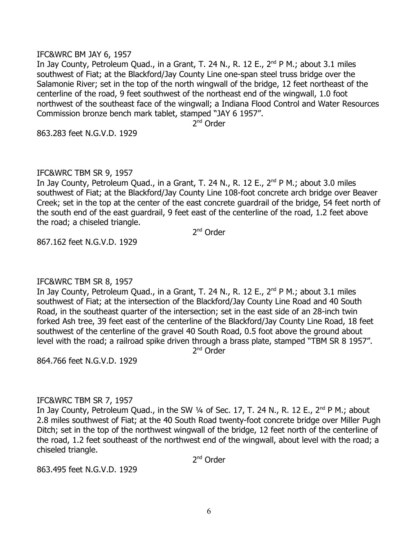#### IFC&WRC BM JAY 6, 1957

In Jay County, Petroleum Quad., in a Grant, T. 24 N., R. 12 E.,  $2^{nd}$  P M.; about 3.1 miles southwest of Fiat; at the Blackford/Jay County Line one-span steel truss bridge over the Salamonie River; set in the top of the north wingwall of the bridge, 12 feet northeast of the centerline of the road, 9 feet southwest of the northeast end of the wingwall, 1.0 foot northwest of the southeast face of the wingwall; a Indiana Flood Control and Water Resources Commission bronze bench mark tablet, stamped "JAY 6 1957".

2<sup>nd</sup> Order

863.283 feet N.G.V.D. 1929

## IFC&WRC TBM SR 9, 1957

In Jay County, Petroleum Quad., in a Grant, T. 24 N., R. 12 E.,  $2^{nd}$  P M.; about 3.0 miles southwest of Fiat; at the Blackford/Jay County Line 108-foot concrete arch bridge over Beaver Creek; set in the top at the center of the east concrete guardrail of the bridge, 54 feet north of the south end of the east guardrail, 9 feet east of the centerline of the road, 1.2 feet above the road; a chiseled triangle.

2<sup>nd</sup> Order

867.162 feet N.G.V.D. 1929

## IFC&WRC TBM SR 8, 1957

In Jay County, Petroleum Quad., in a Grant, T. 24 N., R. 12 E., 2<sup>nd</sup> P M.; about 3.1 miles southwest of Fiat; at the intersection of the Blackford/Jay County Line Road and 40 South Road, in the southeast quarter of the intersection; set in the east side of an 28-inch twin forked Ash tree, 39 feet east of the centerline of the Blackford/Jay County Line Road, 18 feet southwest of the centerline of the gravel 40 South Road, 0.5 foot above the ground about level with the road; a railroad spike driven through a brass plate, stamped "TBM SR 8 1957".

2<sup>nd</sup> Order

864.766 feet N.G.V.D. 1929

## IFC&WRC TBM SR 7, 1957

In Jay County, Petroleum Quad., in the SW 1/4 of Sec. 17, T. 24 N., R. 12 E., 2<sup>nd</sup> P M.; about 2.8 miles southwest of Fiat; at the 40 South Road twenty-foot concrete bridge over Miller Pugh Ditch; set in the top of the northwest wingwall of the bridge, 12 feet north of the centerline of the road, 1.2 feet southeast of the northwest end of the wingwall, about level with the road; a chiseled triangle.

2<sup>nd</sup> Order

863.495 feet N.G.V.D. 1929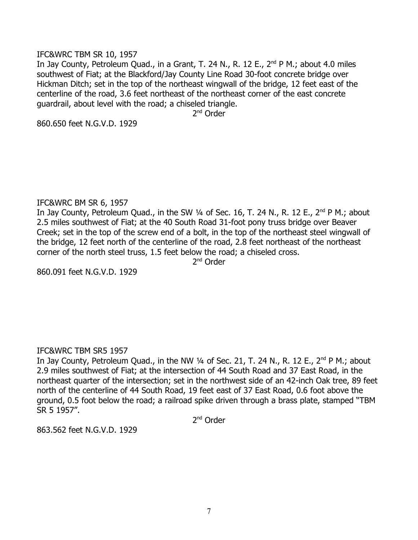#### IFC&WRC TBM SR 10, 1957

In Jay County, Petroleum Quad., in a Grant, T. 24 N., R. 12 E.,  $2^{nd}$  P M.; about 4.0 miles southwest of Fiat; at the Blackford/Jay County Line Road 30-foot concrete bridge over Hickman Ditch; set in the top of the northeast wingwall of the bridge, 12 feet east of the centerline of the road, 3.6 feet northeast of the northeast corner of the east concrete guardrail, about level with the road; a chiseled triangle.

2<sup>nd</sup> Order

860.650 feet N.G.V.D. 1929

## IFC&WRC BM SR 6, 1957

In Jay County, Petroleum Quad., in the SW 1/4 of Sec. 16, T. 24 N., R. 12 E., 2<sup>nd</sup> P M.; about 2.5 miles southwest of Fiat; at the 40 South Road 31-foot pony truss bridge over Beaver Creek; set in the top of the screw end of a bolt, in the top of the northeast steel wingwall of the bridge, 12 feet north of the centerline of the road, 2.8 feet northeast of the northeast corner of the north steel truss, 1.5 feet below the road; a chiseled cross.

2<sup>nd</sup> Order

860.091 feet N.G.V.D. 1929

## IFC&WRC TBM SR5 1957

In Jay County, Petroleum Quad., in the NW  $\frac{1}{4}$  of Sec. 21, T. 24 N., R. 12 E., 2<sup>nd</sup> P M.; about 2.9 miles southwest of Fiat; at the intersection of 44 South Road and 37 East Road, in the northeast quarter of the intersection; set in the northwest side of an 42-inch Oak tree, 89 feet north of the centerline of 44 South Road, 19 feet east of 37 East Road, 0.6 foot above the ground, 0.5 foot below the road; a railroad spike driven through a brass plate, stamped "TBM SR 5 1957".

2<sup>nd</sup> Order

863.562 feet N.G.V.D. 1929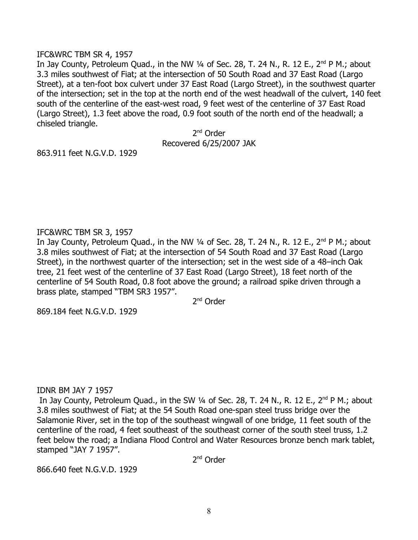#### IFC&WRC TBM SR 4, 1957

In Jay County, Petroleum Quad., in the NW  $\frac{1}{4}$  of Sec. 28, T. 24 N., R. 12 E., 2<sup>nd</sup> P M.; about 3.3 miles southwest of Fiat; at the intersection of 50 South Road and 37 East Road (Largo Street), at a ten-foot box culvert under 37 East Road (Largo Street), in the southwest quarter of the intersection; set in the top at the north end of the west headwall of the culvert, 140 feet south of the centerline of the east-west road, 9 feet west of the centerline of 37 East Road (Largo Street), 1.3 feet above the road, 0.9 foot south of the north end of the headwall; a chiseled triangle.

> 2<sup>nd</sup> Order Recovered 6/25/2007 JAK

863.911 feet N.G.V.D. 1929

## IFC&WRC TBM SR 3, 1957

In Jay County, Petroleum Quad., in the NW  $\frac{1}{4}$  of Sec. 28, T. 24 N., R. 12 E., 2<sup>nd</sup> P M.; about 3.8 miles southwest of Fiat; at the intersection of 54 South Road and 37 East Road (Largo Street), in the northwest quarter of the intersection; set in the west side of a 48–inch Oak tree, 21 feet west of the centerline of 37 East Road (Largo Street), 18 feet north of the centerline of 54 South Road, 0.8 foot above the ground; a railroad spike driven through a brass plate, stamped "TBM SR3 1957".

2<sup>nd</sup> Order

869.184 feet N.G.V.D. 1929

## IDNR BM JAY 7 1957

In Jay County, Petroleum Quad., in the SW  $\frac{1}{4}$  of Sec. 28, T. 24 N., R. 12 E., 2<sup>nd</sup> P M.; about 3.8 miles southwest of Fiat; at the 54 South Road one-span steel truss bridge over the Salamonie River, set in the top of the southeast wingwall of one bridge, 11 feet south of the centerline of the road, 4 feet southeast of the southeast corner of the south steel truss, 1.2 feet below the road; a Indiana Flood Control and Water Resources bronze bench mark tablet, stamped "JAY 7 1957".

2<sup>nd</sup> Order

866.640 feet N.G.V.D. 1929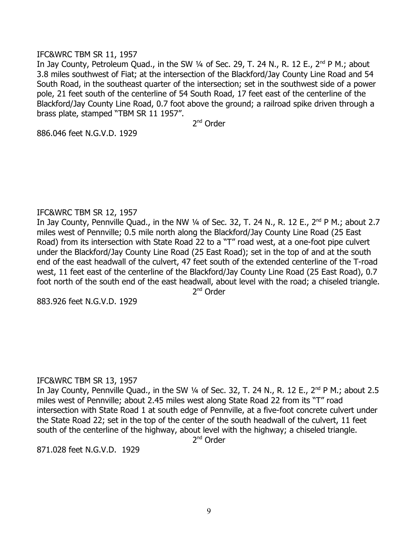### IFC&WRC TBM SR 11, 1957

In Jay County, Petroleum Quad., in the SW  $\frac{1}{4}$  of Sec. 29, T. 24 N., R. 12 E., 2<sup>nd</sup> P M.; about 3.8 miles southwest of Fiat; at the intersection of the Blackford/Jay County Line Road and 54 South Road, in the southeast quarter of the intersection; set in the southwest side of a power pole, 21 feet south of the centerline of 54 South Road, 17 feet east of the centerline of the Blackford/Jay County Line Road, 0.7 foot above the ground; a railroad spike driven through a brass plate, stamped "TBM SR 11 1957".

2<sup>nd</sup> Order

886.046 feet N.G.V.D. 1929

## IFC&WRC TBM SR 12, 1957

In Jay County, Pennville Quad., in the NW 1/4 of Sec. 32, T. 24 N., R. 12 E., 2<sup>nd</sup> P M.; about 2.7 miles west of Pennville; 0.5 mile north along the Blackford/Jay County Line Road (25 East Road) from its intersection with State Road 22 to a "T" road west, at a one-foot pipe culvert under the Blackford/Jay County Line Road (25 East Road); set in the top of and at the south end of the east headwall of the culvert, 47 feet south of the extended centerline of the T-road west, 11 feet east of the centerline of the Blackford/Jay County Line Road (25 East Road), 0.7 foot north of the south end of the east headwall, about level with the road; a chiseled triangle.

2<sup>nd</sup> Order

883.926 feet N.G.V.D. 1929

## IFC&WRC TBM SR 13, 1957

In Jay County, Pennville Quad., in the SW  $\frac{1}{4}$  of Sec. 32, T. 24 N., R. 12 E., 2<sup>nd</sup> P M.; about 2.5 miles west of Pennville; about 2.45 miles west along State Road 22 from its "T" road intersection with State Road 1 at south edge of Pennville, at a five-foot concrete culvert under the State Road 22; set in the top of the center of the south headwall of the culvert, 11 feet south of the centerline of the highway, about level with the highway; a chiseled triangle.

2<sup>nd</sup> Order

871.028 feet N.G.V.D. 1929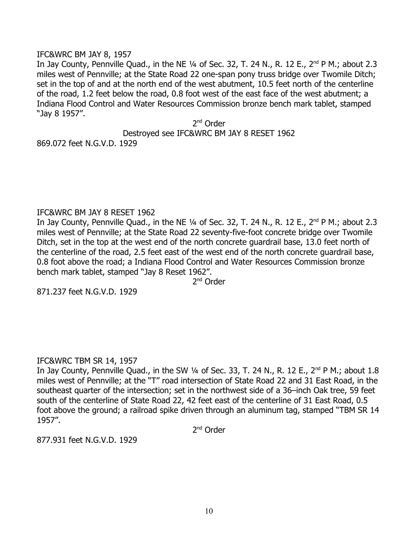#### IFC&WRC BM JAY 8, 1957

In Jay County, Pennville Quad., in the NE  $\frac{1}{4}$  of Sec. 32, T. 24 N., R. 12 E.,  $2^{nd}$  P M.; about 2.3 miles west of Pennville; at the State Road 22 one-span pony truss bridge over Twomile Ditch; set in the top of and at the north end of the west abutment, 10.5 feet north of the centerline of the road, 1.2 feet below the road, 0.8 foot west of the east face of the west abutment; a Indiana Flood Control and Water Resources Commission bronze bench mark tablet, stamped "Jay 8 1957".

2<sup>nd</sup> Order

Destroyed see IFC&WRC BM JAY 8 RESET 1962

869.072 feet N.G.V.D. 1929

#### IFC&WRC BM JAY 8 RESET 1962

In Jay County, Pennville Quad., in the NE 1/4 of Sec. 32, T. 24 N., R. 12 E., 2<sup>nd</sup> P M.; about 2.3 miles west of Pennville; at the State Road 22 seventy-five-foot concrete bridge over Twomile Ditch, set in the top at the west end of the north concrete guardrail base, 13.0 feet north of the centerline of the road, 2.5 feet east of the west end of the north concrete guardrail base, 0.8 foot above the road; a Indiana Flood Control and Water Resources Commission bronze bench mark tablet, stamped "Jay 8 Reset 1962".

2<sup>nd</sup> Order

871.237 feet N.G.V.D. 1929

## IFC&WRC TBM SR 14, 1957

In Jay County, Pennville Quad., in the SW 1/4 of Sec. 33, T. 24 N., R. 12 E., 2<sup>nd</sup> P M.; about 1.8 miles west of Pennville; at the "T" road intersection of State Road 22 and 31 East Road, in the southeast quarter of the intersection; set in the northwest side of a 36–inch Oak tree, 59 feet south of the centerline of State Road 22, 42 feet east of the centerline of 31 East Road, 0.5 foot above the ground; a railroad spike driven through an aluminum tag, stamped "TBM SR 14 1957".

2<sup>nd</sup> Order

877.931 feet N.G.V.D. 1929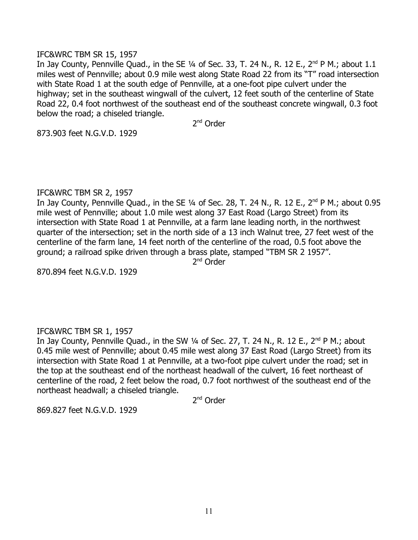### IFC&WRC TBM SR 15, 1957

In Jay County, Pennville Quad., in the SE  $\frac{1}{4}$  of Sec. 33, T. 24 N., R. 12 E., 2<sup>nd</sup> P M.; about 1.1 miles west of Pennville; about 0.9 mile west along State Road 22 from its "T" road intersection with State Road 1 at the south edge of Pennville, at a one-foot pipe culvert under the highway; set in the southeast wingwall of the culvert, 12 feet south of the centerline of State Road 22, 0.4 foot northwest of the southeast end of the southeast concrete wingwall, 0.3 foot below the road; a chiseled triangle.

2<sup>nd</sup> Order

873.903 feet N.G.V.D. 1929

#### IFC&WRC TBM SR 2, 1957

In Jay County, Pennville Quad., in the SE  $\frac{1}{4}$  of Sec. 28, T. 24 N., R. 12 E., 2<sup>nd</sup> P M.; about 0.95 mile west of Pennville; about 1.0 mile west along 37 East Road (Largo Street) from its intersection with State Road 1 at Pennville, at a farm lane leading north, in the northwest quarter of the intersection; set in the north side of a 13 inch Walnut tree, 27 feet west of the centerline of the farm lane, 14 feet north of the centerline of the road, 0.5 foot above the ground; a railroad spike driven through a brass plate, stamped "TBM SR 2 1957".

2<sup>nd</sup> Order

870.894 feet N.G.V.D. 1929

## IFC&WRC TBM SR 1, 1957

In Jay County, Pennville Quad., in the SW 1/4 of Sec. 27, T. 24 N., R. 12 E., 2<sup>nd</sup> P M.; about 0.45 mile west of Pennville; about 0.45 mile west along 37 East Road (Largo Street) from its intersection with State Road 1 at Pennville, at a two-foot pipe culvert under the road; set in the top at the southeast end of the northeast headwall of the culvert, 16 feet northeast of centerline of the road, 2 feet below the road, 0.7 foot northwest of the southeast end of the northeast headwall; a chiseled triangle.

2<sup>nd</sup> Order

869.827 feet N.G.V.D. 1929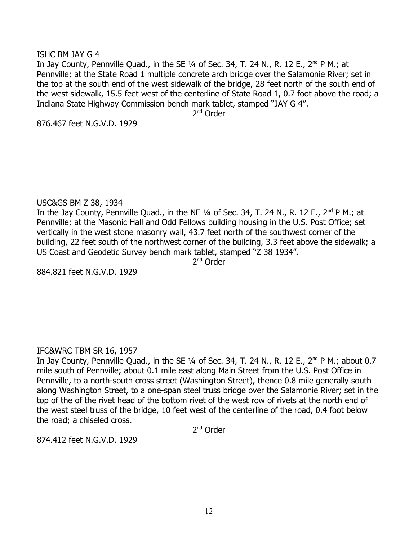## ISHC BM JAY G 4

In Jay County, Pennville Quad., in the SE  $\frac{1}{4}$  of Sec. 34, T. 24 N., R. 12 E., 2<sup>nd</sup> P M.; at Pennville; at the State Road 1 multiple concrete arch bridge over the Salamonie River; set in the top at the south end of the west sidewalk of the bridge, 28 feet north of the south end of the west sidewalk, 15.5 feet west of the centerline of State Road 1, 0.7 foot above the road; a Indiana State Highway Commission bench mark tablet, stamped "JAY G 4".

2<sup>nd</sup> Order

876.467 feet N.G.V.D. 1929

## USC&GS BM Z 38, 1934

In the Jay County, Pennville Quad., in the NE  $\frac{1}{4}$  of Sec. 34, T. 24 N., R. 12 E., 2<sup>nd</sup> P M.; at Pennville; at the Masonic Hall and Odd Fellows building housing in the U.S. Post Office; set vertically in the west stone masonry wall, 43.7 feet north of the southwest corner of the building, 22 feet south of the northwest corner of the building, 3.3 feet above the sidewalk; a US Coast and Geodetic Survey bench mark tablet, stamped "Z 38 1934".

2<sup>nd</sup> Order

884.821 feet N.G.V.D. 1929

## IFC&WRC TBM SR 16, 1957

In Jay County, Pennville Quad., in the SE  $\frac{1}{4}$  of Sec. 34, T. 24 N., R. 12 E., 2<sup>nd</sup> P M.; about 0.7 mile south of Pennville; about 0.1 mile east along Main Street from the U.S. Post Office in Pennville, to a north-south cross street (Washington Street), thence 0.8 mile generally south along Washington Street, to a one-span steel truss bridge over the Salamonie River; set in the top of the of the rivet head of the bottom rivet of the west row of rivets at the north end of the west steel truss of the bridge, 10 feet west of the centerline of the road, 0.4 foot below the road; a chiseled cross.

2<sup>nd</sup> Order

874.412 feet N.G.V.D. 1929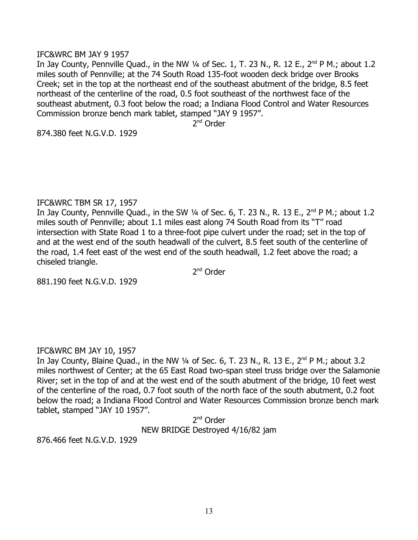#### IFC&WRC BM JAY 9 1957

In Jay County, Pennville Quad., in the NW  $\frac{1}{4}$  of Sec. 1, T. 23 N., R. 12 E., 2<sup>nd</sup> P M.; about 1.2 miles south of Pennville; at the 74 South Road 135-foot wooden deck bridge over Brooks Creek; set in the top at the northeast end of the southeast abutment of the bridge, 8.5 feet northeast of the centerline of the road, 0.5 foot southeast of the northwest face of the southeast abutment, 0.3 foot below the road; a Indiana Flood Control and Water Resources Commission bronze bench mark tablet, stamped "JAY 9 1957".

2<sup>nd</sup> Order

874.380 feet N.G.V.D. 1929

## IFC&WRC TBM SR 17, 1957

In Jay County, Pennville Quad., in the SW  $\frac{1}{4}$  of Sec. 6, T. 23 N., R. 13 E., 2<sup>nd</sup> P M.; about 1.2 miles south of Pennville; about 1.1 miles east along 74 South Road from its "T" road intersection with State Road 1 to a three-foot pipe culvert under the road; set in the top of and at the west end of the south headwall of the culvert, 8.5 feet south of the centerline of the road, 1.4 feet east of the west end of the south headwall, 1.2 feet above the road; a chiseled triangle.

2<sup>nd</sup> Order

881.190 feet N.G.V.D. 1929

# IFC&WRC BM JAY 10, 1957

In Jay County, Blaine Quad., in the NW  $\frac{1}{4}$  of Sec. 6, T. 23 N., R. 13 E., 2<sup>nd</sup> P M.; about 3.2 miles northwest of Center; at the 65 East Road two-span steel truss bridge over the Salamonie River; set in the top of and at the west end of the south abutment of the bridge, 10 feet west of the centerline of the road, 0.7 foot south of the north face of the south abutment, 0.2 foot below the road; a Indiana Flood Control and Water Resources Commission bronze bench mark tablet, stamped "JAY 10 1957".

> 2<sup>nd</sup> Order NEW BRIDGE Destroyed 4/16/82 jam

876.466 feet N.G.V.D. 1929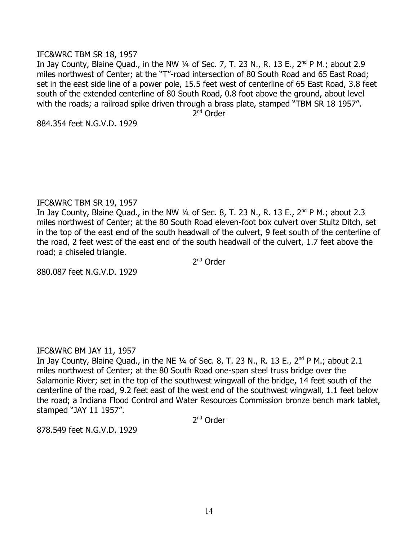#### IFC&WRC TBM SR 18, 1957

In Jay County, Blaine Quad., in the NW  $\frac{1}{4}$  of Sec. 7, T. 23 N., R. 13 E., 2<sup>nd</sup> P M.; about 2.9 miles northwest of Center; at the "T"-road intersection of 80 South Road and 65 East Road; set in the east side line of a power pole, 15.5 feet west of centerline of 65 East Road, 3.8 feet south of the extended centerline of 80 South Road, 0.8 foot above the ground, about level with the roads; a railroad spike driven through a brass plate, stamped "TBM SR 18 1957".

2<sup>nd</sup> Order

884.354 feet N.G.V.D. 1929

## IFC&WRC TBM SR 19, 1957

In Jay County, Blaine Quad., in the NW  $\frac{1}{4}$  of Sec. 8, T. 23 N., R. 13 E., 2<sup>nd</sup> P M.; about 2.3 miles northwest of Center; at the 80 South Road eleven-foot box culvert over Stultz Ditch, set in the top of the east end of the south headwall of the culvert, 9 feet south of the centerline of the road, 2 feet west of the east end of the south headwall of the culvert, 1.7 feet above the road; a chiseled triangle.

2<sup>nd</sup> Order

880.087 feet N.G.V.D. 1929

## IFC&WRC BM JAY 11, 1957

In Jay County, Blaine Quad., in the NE  $\frac{1}{4}$  of Sec. 8, T. 23 N., R. 13 E.,  $2^{nd}$  P M.; about 2.1 miles northwest of Center; at the 80 South Road one-span steel truss bridge over the Salamonie River; set in the top of the southwest wingwall of the bridge, 14 feet south of the centerline of the road, 9.2 feet east of the west end of the southwest wingwall, 1.1 feet below the road; a Indiana Flood Control and Water Resources Commission bronze bench mark tablet, stamped "JAY 11 1957".

2<sup>nd</sup> Order

878.549 feet N.G.V.D. 1929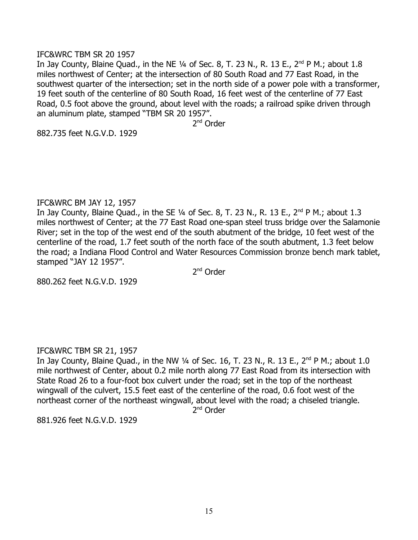#### IFC&WRC TBM SR 20 1957

In Jay County, Blaine Quad., in the NE  $\frac{1}{4}$  of Sec. 8, T. 23 N., R. 13 E.,  $2^{nd}$  P M.; about 1.8 miles northwest of Center; at the intersection of 80 South Road and 77 East Road, in the southwest quarter of the intersection; set in the north side of a power pole with a transformer, 19 feet south of the centerline of 80 South Road, 16 feet west of the centerline of 77 East Road, 0.5 foot above the ground, about level with the roads; a railroad spike driven through an aluminum plate, stamped "TBM SR 20 1957".

2<sup>nd</sup> Order

882.735 feet N.G.V.D. 1929

#### IFC&WRC BM JAY 12, 1957

In Jay County, Blaine Quad., in the SE  $\frac{1}{4}$  of Sec. 8, T. 23 N., R. 13 E.,  $2^{nd}$  P M.; about 1.3 miles northwest of Center; at the 77 East Road one-span steel truss bridge over the Salamonie River; set in the top of the west end of the south abutment of the bridge, 10 feet west of the centerline of the road, 1.7 feet south of the north face of the south abutment, 1.3 feet below the road; a Indiana Flood Control and Water Resources Commission bronze bench mark tablet, stamped "JAY 12 1957".

2<sup>nd</sup> Order

880.262 feet N.G.V.D. 1929

## IFC&WRC TBM SR 21, 1957

In Jay County, Blaine Quad., in the NW  $\frac{1}{4}$  of Sec. 16, T. 23 N., R. 13 E., 2<sup>nd</sup> P M.; about 1.0 mile northwest of Center, about 0.2 mile north along 77 East Road from its intersection with State Road 26 to a four-foot box culvert under the road; set in the top of the northeast wingwall of the culvert, 15.5 feet east of the centerline of the road, 0.6 foot west of the northeast corner of the northeast wingwall, about level with the road; a chiseled triangle.

2<sup>nd</sup> Order

881.926 feet N.G.V.D. 1929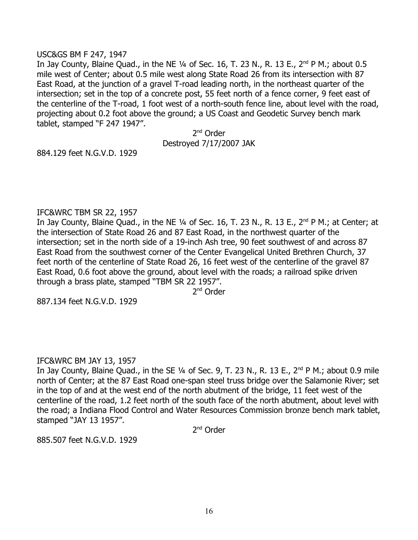#### USC&GS BM F 247, 1947

In Jay County, Blaine Quad., in the NE  $\frac{1}{4}$  of Sec. 16, T. 23 N., R. 13 E., 2<sup>nd</sup> P M.; about 0.5 mile west of Center; about 0.5 mile west along State Road 26 from its intersection with 87 East Road, at the junction of a gravel T-road leading north, in the northeast quarter of the intersection; set in the top of a concrete post, 55 feet north of a fence corner, 9 feet east of the centerline of the T-road, 1 foot west of a north-south fence line, about level with the road, projecting about 0.2 foot above the ground; a US Coast and Geodetic Survey bench mark tablet, stamped "F 247 1947".

> 2<sup>nd</sup> Order Destroyed 7/17/2007 JAK

884.129 feet N.G.V.D. 1929

#### IFC&WRC TBM SR 22, 1957

In Jay County, Blaine Quad., in the NE 1/4 of Sec. 16, T. 23 N., R. 13 E., 2<sup>nd</sup> P M.; at Center; at the intersection of State Road 26 and 87 East Road, in the northwest quarter of the intersection; set in the north side of a 19-inch Ash tree, 90 feet southwest of and across 87 East Road from the southwest corner of the Center Evangelical United Brethren Church, 37 feet north of the centerline of State Road 26, 16 feet west of the centerline of the gravel 87 East Road, 0.6 foot above the ground, about level with the roads; a railroad spike driven through a brass plate, stamped "TBM SR 22 1957".

2<sup>nd</sup> Order

887.134 feet N.G.V.D. 1929

## IFC&WRC BM JAY 13, 1957

In Jay County, Blaine Quad., in the SE 1/4 of Sec. 9, T. 23 N., R. 13 E., 2<sup>nd</sup> P M.; about 0.9 mile north of Center; at the 87 East Road one-span steel truss bridge over the Salamonie River; set in the top of and at the west end of the north abutment of the bridge, 11 feet west of the centerline of the road, 1.2 feet north of the south face of the north abutment, about level with the road; a Indiana Flood Control and Water Resources Commission bronze bench mark tablet, stamped "JAY 13 1957".

2<sup>nd</sup> Order

885.507 feet N.G.V.D. 1929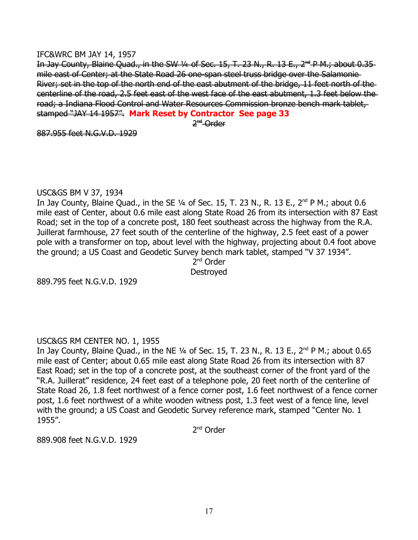#### IFC&WRC BM JAY 14, 1957

In Jay County, Blaine Quad., in the SW 1/4 of Sec. 15, T. 23 N., R. 13 E.,  $2^{nd}$  P.M.; about 0.35 mile east of Center; at the State Road 26 one-span steel truss bridge over the Salamonie River; set in the top of the north end of the east abutment of the bridge, 11 feet north of the centerline of the road, 2.5 feet east of the west face of the east abutment, 1.3 feet below the road; a Indiana Flood Control and Water Resources Commission bronze bench mark tablet, stamped "JAY 14 1957". **Mark Reset by Contractor See page 33**

2<sup>nd</sup>-Order

887.955 feet N.G.V.D. 1929

#### USC&GS BM V 37, 1934

In Jay County, Blaine Quad., in the SE  $\frac{1}{4}$  of Sec. 15, T. 23 N., R. 13 E.,  $2^{nd}$  P M.; about 0.6 mile east of Center, about 0.6 mile east along State Road 26 from its intersection with 87 East Road; set in the top of a concrete post, 180 feet southeast across the highway from the R.A. Juillerat farmhouse, 27 feet south of the centerline of the highway, 2.5 feet east of a power pole with a transformer on top, about level with the highway, projecting about 0.4 foot above the ground; a US Coast and Geodetic Survey bench mark tablet, stamped "V 37 1934".

2<sup>nd</sup> Order **Destroved** 

889.795 feet N.G.V.D. 1929

# USC&GS RM CENTER NO. 1, 1955

In Jay County, Blaine Quad., in the NE  $\frac{1}{4}$  of Sec. 15, T. 23 N., R. 13 E., 2<sup>nd</sup> P M.; about 0.65 mile east of Center; about 0.65 mile east along State Road 26 from its intersection with 87 East Road; set in the top of a concrete post, at the southeast corner of the front yard of the "R.A. Juillerat" residence, 24 feet east of a telephone pole, 20 feet north of the centerline of State Road 26, 1.8 feet northwest of a fence corner post, 1.6 feet northwest of a fence corner post, 1.6 feet northwest of a white wooden witness post, 1.3 feet west of a fence line, level with the ground; a US Coast and Geodetic Survey reference mark, stamped "Center No. 1 1955".

2<sup>nd</sup> Order

889.908 feet N.G.V.D. 1929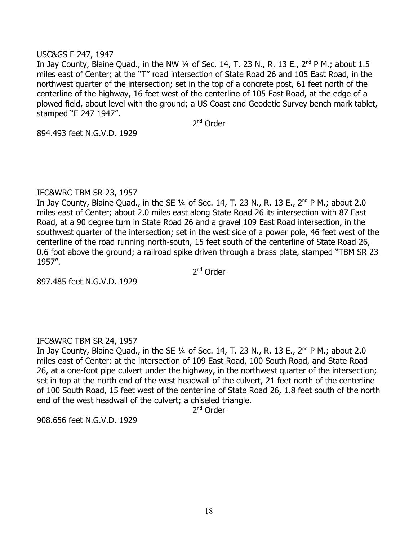#### USC&GS E 247, 1947

In Jay County, Blaine Quad., in the NW  $\frac{1}{4}$  of Sec. 14, T. 23 N., R. 13 E., 2<sup>nd</sup> P M.; about 1.5 miles east of Center; at the "T" road intersection of State Road 26 and 105 East Road, in the northwest quarter of the intersection; set in the top of a concrete post, 61 feet north of the centerline of the highway, 16 feet west of the centerline of 105 East Road, at the edge of a plowed field, about level with the ground; a US Coast and Geodetic Survey bench mark tablet, stamped "E 247 1947".

2<sup>nd</sup> Order

894.493 feet N.G.V.D. 1929

#### IFC&WRC TBM SR 23, 1957

In Jay County, Blaine Quad., in the SE  $\frac{1}{4}$  of Sec. 14, T. 23 N., R. 13 E.,  $2^{nd}$  P M.; about 2.0 miles east of Center; about 2.0 miles east along State Road 26 its intersection with 87 East Road, at a 90 degree turn in State Road 26 and a gravel 109 East Road intersection, in the southwest quarter of the intersection; set in the west side of a power pole, 46 feet west of the centerline of the road running north-south, 15 feet south of the centerline of State Road 26, 0.6 foot above the ground; a railroad spike driven through a brass plate, stamped "TBM SR 23 1957".

2<sup>nd</sup> Order

897.485 feet N.G.V.D. 1929

## IFC&WRC TBM SR 24, 1957

In Jay County, Blaine Quad., in the SE  $\frac{1}{4}$  of Sec. 14, T. 23 N., R. 13 E.,  $2^{nd}$  P M.; about 2.0 miles east of Center; at the intersection of 109 East Road, 100 South Road, and State Road 26, at a one-foot pipe culvert under the highway, in the northwest quarter of the intersection; set in top at the north end of the west headwall of the culvert, 21 feet north of the centerline of 100 South Road, 15 feet west of the centerline of State Road 26, 1.8 feet south of the north end of the west headwall of the culvert; a chiseled triangle.

2<sup>nd</sup> Order

908.656 feet N.G.V.D. 1929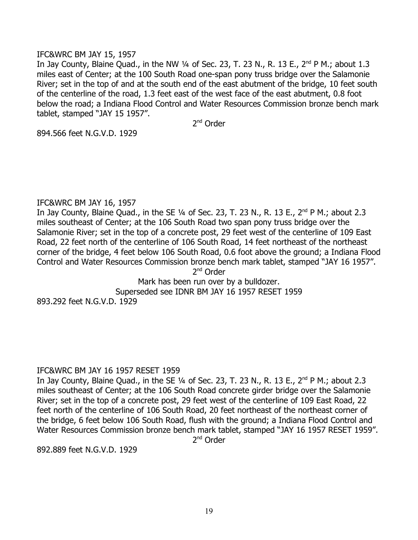### IFC&WRC BM JAY 15, 1957

In Jay County, Blaine Quad., in the NW  $\frac{1}{4}$  of Sec. 23, T. 23 N., R. 13 E., 2<sup>nd</sup> P M.; about 1.3 miles east of Center; at the 100 South Road one-span pony truss bridge over the Salamonie River; set in the top of and at the south end of the east abutment of the bridge, 10 feet south of the centerline of the road, 1.3 feet east of the west face of the east abutment, 0.8 foot below the road; a Indiana Flood Control and Water Resources Commission bronze bench mark tablet, stamped "JAY 15 1957".

2<sup>nd</sup> Order

894.566 feet N.G.V.D. 1929

#### IFC&WRC BM JAY 16, 1957

In Jay County, Blaine Quad., in the SE  $1/4$  of Sec. 23, T. 23 N., R. 13 E.,  $2^{nd}$  P M.; about 2.3 miles southeast of Center; at the 106 South Road two span pony truss bridge over the Salamonie River; set in the top of a concrete post, 29 feet west of the centerline of 109 East Road, 22 feet north of the centerline of 106 South Road, 14 feet northeast of the northeast corner of the bridge, 4 feet below 106 South Road, 0.6 foot above the ground; a Indiana Flood Control and Water Resources Commission bronze bench mark tablet, stamped "JAY 16 1957". 2<sup>nd</sup> Order

Mark has been run over by a bulldozer. Superseded see IDNR BM JAY 16 1957 RESET 1959 893.292 feet N.G.V.D. 1929

#### IFC&WRC BM JAY 16 1957 RESET 1959

In Jay County, Blaine Quad., in the SE  $\frac{1}{4}$  of Sec. 23, T. 23 N., R. 13 E.,  $2^{nd}$  P M.; about 2.3 miles southeast of Center; at the 106 South Road concrete girder bridge over the Salamonie River; set in the top of a concrete post, 29 feet west of the centerline of 109 East Road, 22 feet north of the centerline of 106 South Road, 20 feet northeast of the northeast corner of the bridge, 6 feet below 106 South Road, flush with the ground; a Indiana Flood Control and Water Resources Commission bronze bench mark tablet, stamped "JAY 16 1957 RESET 1959".

2<sup>nd</sup> Order

892.889 feet N.G.V.D. 1929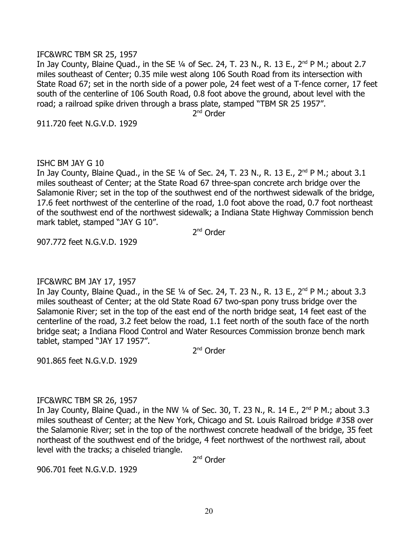#### IFC&WRC TBM SR 25, 1957

In Jay County, Blaine Quad., in the SE  $\frac{1}{4}$  of Sec. 24, T. 23 N., R. 13 E., 2<sup>nd</sup> P M.; about 2.7 miles southeast of Center; 0.35 mile west along 106 South Road from its intersection with State Road 67; set in the north side of a power pole, 24 feet west of a T-fence corner, 17 feet south of the centerline of 106 South Road, 0.8 foot above the ground, about level with the road; a railroad spike driven through a brass plate, stamped "TBM SR 25 1957".

2<sup>nd</sup> Order

911.720 feet N.G.V.D. 1929

#### ISHC BM JAY G 10

In Jay County, Blaine Quad., in the SE  $1/4$  of Sec. 24, T. 23 N., R. 13 E.,  $2^{nd}$  P M.; about 3.1 miles southeast of Center; at the State Road 67 three-span concrete arch bridge over the Salamonie River; set in the top of the southwest end of the northwest sidewalk of the bridge, 17.6 feet northwest of the centerline of the road, 1.0 foot above the road, 0.7 foot northeast of the southwest end of the northwest sidewalk; a Indiana State Highway Commission bench mark tablet, stamped "JAY G 10".

2<sup>nd</sup> Order

907.772 feet N.G.V.D. 1929

## IFC&WRC BM JAY 17, 1957

In Jay County, Blaine Quad., in the SE 1/4 of Sec. 24, T. 23 N., R. 13 E., 2<sup>nd</sup> P M.; about 3.3 miles southeast of Center; at the old State Road 67 two-span pony truss bridge over the Salamonie River; set in the top of the east end of the north bridge seat, 14 feet east of the centerline of the road, 3.2 feet below the road, 1.1 feet north of the south face of the north bridge seat; a Indiana Flood Control and Water Resources Commission bronze bench mark tablet, stamped "JAY 17 1957".

2<sup>nd</sup> Order

901.865 feet N.G.V.D. 1929

#### IFC&WRC TBM SR 26, 1957

In Jay County, Blaine Quad., in the NW  $\frac{1}{4}$  of Sec. 30, T. 23 N., R. 14 E., 2<sup>nd</sup> P M.; about 3.3 miles southeast of Center; at the New York, Chicago and St. Louis Railroad bridge #358 over the Salamonie River; set in the top of the northwest concrete headwall of the bridge, 35 feet northeast of the southwest end of the bridge, 4 feet northwest of the northwest rail, about level with the tracks; a chiseled triangle.

2<sup>nd</sup> Order

906.701 feet N.G.V.D. 1929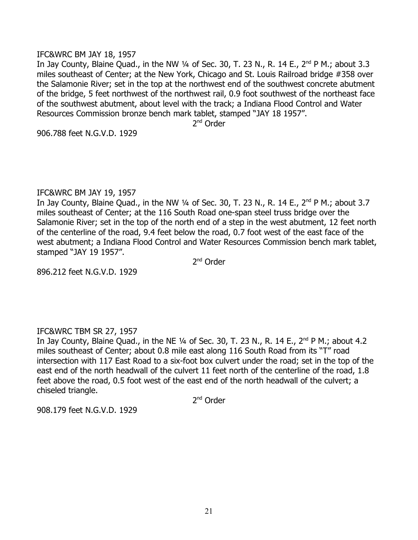#### IFC&WRC BM JAY 18, 1957

In Jay County, Blaine Quad., in the NW  $\frac{1}{4}$  of Sec. 30, T. 23 N., R. 14 E., 2<sup>nd</sup> P M.; about 3.3 miles southeast of Center; at the New York, Chicago and St. Louis Railroad bridge #358 over the Salamonie River; set in the top at the northwest end of the southwest concrete abutment of the bridge, 5 feet northwest of the northwest rail, 0.9 foot southwest of the northeast face of the southwest abutment, about level with the track; a Indiana Flood Control and Water Resources Commission bronze bench mark tablet, stamped "JAY 18 1957".

2<sup>nd</sup> Order

906.788 feet N.G.V.D. 1929

#### IFC&WRC BM JAY 19, 1957

In Jay County, Blaine Quad., in the NW  $\frac{1}{4}$  of Sec. 30, T. 23 N., R. 14 E., 2<sup>nd</sup> P M.; about 3.7 miles southeast of Center; at the 116 South Road one-span steel truss bridge over the Salamonie River; set in the top of the north end of a step in the west abutment, 12 feet north of the centerline of the road, 9.4 feet below the road, 0.7 foot west of the east face of the west abutment; a Indiana Flood Control and Water Resources Commission bench mark tablet, stamped "JAY 19 1957".

2<sup>nd</sup> Order

896.212 feet N.G.V.D. 1929

## IFC&WRC TBM SR 27, 1957

In Jay County, Blaine Quad., in the NE  $\frac{1}{4}$  of Sec. 30, T. 23 N., R. 14 E., 2<sup>nd</sup> P M.; about 4.2 miles southeast of Center; about 0.8 mile east along 116 South Road from its "T" road intersection with 117 East Road to a six-foot box culvert under the road; set in the top of the east end of the north headwall of the culvert 11 feet north of the centerline of the road, 1.8 feet above the road, 0.5 foot west of the east end of the north headwall of the culvert; a chiseled triangle.

2<sup>nd</sup> Order

908.179 feet N.G.V.D. 1929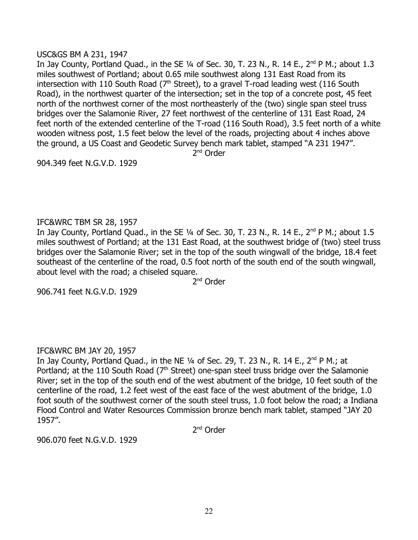## USC&GS BM A 231, 1947

In Jay County, Portland Quad., in the SE  $\frac{1}{4}$  of Sec. 30, T. 23 N., R. 14 E., 2<sup>nd</sup> P M.; about 1.3 miles southwest of Portland; about 0.65 mile southwest along 131 East Road from its intersection with 110 South Road  $(7<sup>th</sup> Street)$ , to a gravel T-road leading west (116 South Road), in the northwest quarter of the intersection; set in the top of a concrete post, 45 feet north of the northwest corner of the most northeasterly of the (two) single span steel truss bridges over the Salamonie River, 27 feet northwest of the centerline of 131 East Road, 24 feet north of the extended centerline of the T-road (116 South Road), 3.5 feet north of a white wooden witness post, 1.5 feet below the level of the roads, projecting about 4 inches above the ground, a US Coast and Geodetic Survey bench mark tablet, stamped "A 231 1947".

2<sup>nd</sup> Order

904.349 feet N.G.V.D. 1929

## IFC&WRC TBM SR 28, 1957

In Jay County, Portland Quad., in the SE  $1/4$  of Sec. 30, T. 23 N., R. 14 E.,  $2^{nd}$  P M.; about 1.5 miles southwest of Portland; at the 131 East Road, at the southwest bridge of (two) steel truss bridges over the Salamonie River; set in the top of the south wingwall of the bridge, 18.4 feet southeast of the centerline of the road, 0.5 foot north of the south end of the south wingwall, about level with the road; a chiseled square.

2<sup>nd</sup> Order

906.741 feet N.G.V.D. 1929

## IFC&WRC BM JAY 20, 1957

In Jay County, Portland Quad., in the NE  $1/4$  of Sec. 29, T. 23 N., R. 14 E., 2<sup>nd</sup> P M.; at Portland; at the 110 South Road (7<sup>th</sup> Street) one-span steel truss bridge over the Salamonie River; set in the top of the south end of the west abutment of the bridge, 10 feet south of the centerline of the road, 1.2 feet west of the east face of the west abutment of the bridge, 1.0 foot south of the southwest corner of the south steel truss, 1.0 foot below the road; a Indiana Flood Control and Water Resources Commission bronze bench mark tablet, stamped "JAY 20 1957".

2<sup>nd</sup> Order

906.070 feet N.G.V.D. 1929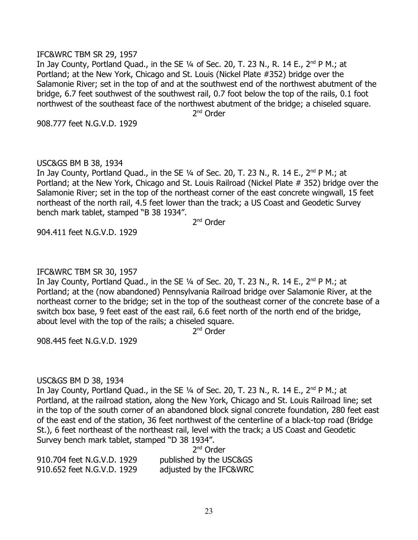#### IFC&WRC TBM SR 29, 1957

In Jay County, Portland Quad., in the SE  $1/4$  of Sec. 20, T. 23 N., R. 14 E., 2<sup>nd</sup> P M.; at Portland; at the New York, Chicago and St. Louis (Nickel Plate #352) bridge over the Salamonie River; set in the top of and at the southwest end of the northwest abutment of the bridge, 6.7 feet southwest of the southwest rail, 0.7 foot below the top of the rails, 0.1 foot northwest of the southeast face of the northwest abutment of the bridge; a chiseled square. 2<sup>nd</sup> Order

908.777 feet N.G.V.D. 1929

#### USC&GS BM B 38, 1934

In Jay County, Portland Quad., in the SE  $1/4$  of Sec. 20, T. 23 N., R. 14 E., 2<sup>nd</sup> P M.; at Portland; at the New York, Chicago and St. Louis Railroad (Nickel Plate # 352) bridge over the Salamonie River; set in the top of the northeast corner of the east concrete wingwall, 15 feet northeast of the north rail, 4.5 feet lower than the track; a US Coast and Geodetic Survey bench mark tablet, stamped "B 38 1934".

2<sup>nd</sup> Order

904.411 feet N.G.V.D. 1929

#### IFC&WRC TBM SR 30, 1957

In Jay County, Portland Quad., in the SE  $1/4$  of Sec. 20, T. 23 N., R. 14 E., 2<sup>nd</sup> P M.; at Portland; at the (now abandoned) Pennsylvania Railroad bridge over Salamonie River, at the northeast corner to the bridge; set in the top of the southeast corner of the concrete base of a switch box base, 9 feet east of the east rail, 6.6 feet north of the north end of the bridge, about level with the top of the rails; a chiseled square.

2<sup>nd</sup> Order

908.445 feet N.G.V.D. 1929

#### USC&GS BM D 38, 1934

In Jay County, Portland Quad., in the SE  $1/4$  of Sec. 20, T. 23 N., R. 14 E., 2<sup>nd</sup> P M.; at Portland, at the railroad station, along the New York, Chicago and St. Louis Railroad line; set in the top of the south corner of an abandoned block signal concrete foundation, 280 feet east of the east end of the station, 36 feet northwest of the centerline of a black-top road (Bridge St.), 6 feet northeast of the northeast rail, level with the track; a US Coast and Geodetic Survey bench mark tablet, stamped "D 38 1934".

2<sup>nd</sup> Order 910.704 feet N.G.V.D. 1929 published by the USC&GS 910.652 feet N.G.V.D. 1929 adjusted by the IFC&WRC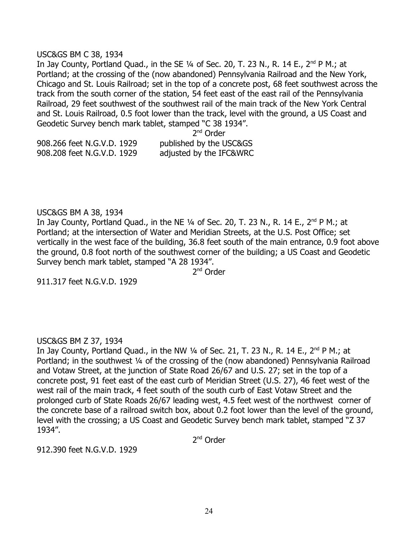#### USC&GS BM C 38, 1934

In Jay County, Portland Quad., in the SE  $1/4$  of Sec. 20, T. 23 N., R. 14 E., 2<sup>nd</sup> P M.; at Portland; at the crossing of the (now abandoned) Pennsylvania Railroad and the New York, Chicago and St. Louis Railroad; set in the top of a concrete post, 68 feet southwest across the track from the south corner of the station, 54 feet east of the east rail of the Pennsylvania Railroad, 29 feet southwest of the southwest rail of the main track of the New York Central and St. Louis Railroad, 0.5 foot lower than the track, level with the ground, a US Coast and Geodetic Survey bench mark tablet, stamped "C 38 1934".

2<sup>nd</sup> Order 908.266 feet N.G.V.D. 1929 published by the USC&GS 908.208 feet N.G.V.D. 1929 adjusted by the IFC&WRC

#### USC&GS BM A 38, 1934

In Jay County, Portland Quad., in the NE  $1/4$  of Sec. 20, T. 23 N., R. 14 E., 2<sup>nd</sup> P M.; at Portland; at the intersection of Water and Meridian Streets, at the U.S. Post Office; set vertically in the west face of the building, 36.8 feet south of the main entrance, 0.9 foot above the ground, 0.8 foot north of the southwest corner of the building; a US Coast and Geodetic Survey bench mark tablet, stamped "A 28 1934".

2<sup>nd</sup> Order

911.317 feet N.G.V.D. 1929

## USC&GS BM Z 37, 1934

In Jay County, Portland Quad., in the NW  $\frac{1}{4}$  of Sec. 21, T. 23 N., R. 14 E., 2<sup>nd</sup> P M.; at Portland; in the southwest ¼ of the crossing of the (now abandoned) Pennsylvania Railroad and Votaw Street, at the junction of State Road 26/67 and U.S. 27; set in the top of a concrete post, 91 feet east of the east curb of Meridian Street (U.S. 27), 46 feet west of the west rail of the main track, 4 feet south of the south curb of East Votaw Street and the prolonged curb of State Roads 26/67 leading west, 4.5 feet west of the northwest corner of the concrete base of a railroad switch box, about 0.2 foot lower than the level of the ground, level with the crossing; a US Coast and Geodetic Survey bench mark tablet, stamped "Z 37 1934".

2<sup>nd</sup> Order

912.390 feet N.G.V.D. 1929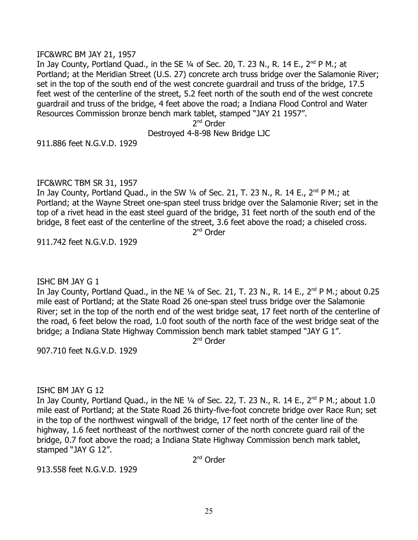#### IFC&WRC BM JAY 21, 1957

In Jay County, Portland Quad., in the SE  $1/4$  of Sec. 20, T. 23 N., R. 14 E., 2<sup>nd</sup> P M.; at Portland; at the Meridian Street (U.S. 27) concrete arch truss bridge over the Salamonie River; set in the top of the south end of the west concrete guardrail and truss of the bridge, 17.5 feet west of the centerline of the street, 5.2 feet north of the south end of the west concrete guardrail and truss of the bridge, 4 feet above the road; a Indiana Flood Control and Water Resources Commission bronze bench mark tablet, stamped "JAY 21 1957".

2<sup>nd</sup> Order

#### Destroyed 4-8-98 New Bridge LJC

911.886 feet N.G.V.D. 1929

#### IFC&WRC TBM SR 31, 1957

In Jay County, Portland Quad., in the SW  $\frac{1}{4}$  of Sec. 21, T. 23 N., R. 14 E., 2<sup>nd</sup> P M.; at Portland; at the Wayne Street one-span steel truss bridge over the Salamonie River; set in the top of a rivet head in the east steel guard of the bridge, 31 feet north of the south end of the bridge, 8 feet east of the centerline of the street, 3.6 feet above the road; a chiseled cross.

2<sup>nd</sup> Order

911.742 feet N.G.V.D. 1929

#### ISHC BM JAY G 1

In Jay County, Portland Quad., in the NE 1/4 of Sec. 21, T. 23 N., R. 14 E., 2<sup>nd</sup> P M.; about 0.25 mile east of Portland; at the State Road 26 one-span steel truss bridge over the Salamonie River; set in the top of the north end of the west bridge seat, 17 feet north of the centerline of the road, 6 feet below the road, 1.0 foot south of the north face of the west bridge seat of the bridge; a Indiana State Highway Commission bench mark tablet stamped "JAY G 1".

2<sup>nd</sup> Order

907.710 feet N.G.V.D. 1929

#### ISHC BM JAY G 12

In Jay County, Portland Quad., in the NE  $\frac{1}{4}$  of Sec. 22, T. 23 N., R. 14 E., 2<sup>nd</sup> P M.; about 1.0 mile east of Portland; at the State Road 26 thirty-five-foot concrete bridge over Race Run; set in the top of the northwest wingwall of the bridge, 17 feet north of the center line of the highway, 1.6 feet northeast of the northwest corner of the north concrete guard rail of the bridge, 0.7 foot above the road; a Indiana State Highway Commission bench mark tablet, stamped "JAY G 12".

2<sup>nd</sup> Order

913.558 feet N.G.V.D. 1929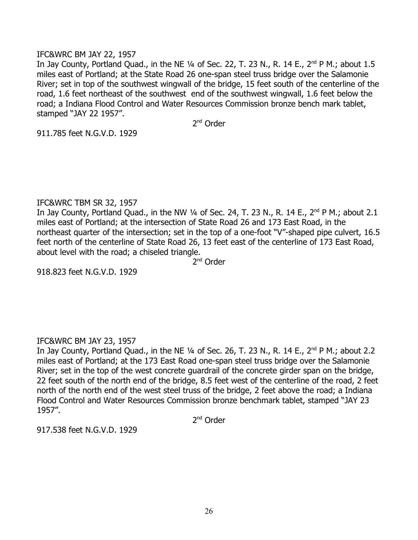### IFC&WRC BM JAY 22, 1957

In Jay County, Portland Quad., in the NE  $\frac{1}{4}$  of Sec. 22, T. 23 N., R. 14 E., 2<sup>nd</sup> P M.; about 1.5 miles east of Portland; at the State Road 26 one-span steel truss bridge over the Salamonie River; set in top of the southwest wingwall of the bridge, 15 feet south of the centerline of the road, 1.6 feet northeast of the southwest end of the southwest wingwall, 1.6 feet below the road; a Indiana Flood Control and Water Resources Commission bronze bench mark tablet, stamped "JAY 22 1957".

2<sup>nd</sup> Order

911.785 feet N.G.V.D. 1929

## IFC&WRC TBM SR 32, 1957

In Jay County, Portland Quad., in the NW 1/4 of Sec. 24, T. 23 N., R. 14 E., 2<sup>nd</sup> P M.; about 2.1 miles east of Portland; at the intersection of State Road 26 and 173 East Road, in the northeast quarter of the intersection; set in the top of a one-foot "V"-shaped pipe culvert, 16.5 feet north of the centerline of State Road 26, 13 feet east of the centerline of 173 East Road, about level with the road; a chiseled triangle.

2<sup>nd</sup> Order

918.823 feet N.G.V.D. 1929

## IFC&WRC BM JAY 23, 1957

In Jay County, Portland Quad., in the NE  $\frac{1}{4}$  of Sec. 26, T. 23 N., R. 14 E., 2<sup>nd</sup> P M.; about 2.2 miles east of Portland; at the 173 East Road one-span steel truss bridge over the Salamonie River; set in the top of the west concrete guardrail of the concrete girder span on the bridge, 22 feet south of the north end of the bridge, 8.5 feet west of the centerline of the road, 2 feet north of the north end of the west steel truss of the bridge, 2 feet above the road; a Indiana Flood Control and Water Resources Commission bronze benchmark tablet, stamped "JAY 23 1957".

2<sup>nd</sup> Order

917.538 feet N.G.V.D. 1929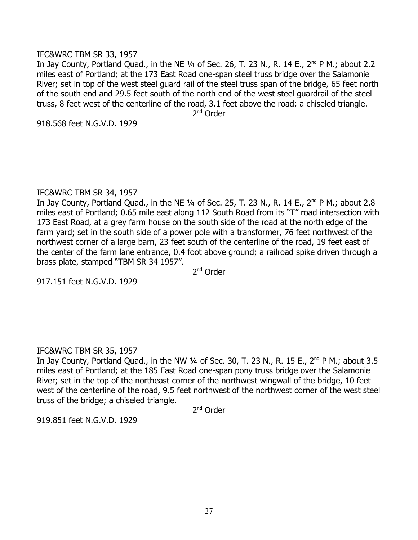#### IFC&WRC TBM SR 33, 1957

In Jay County, Portland Quad., in the NE  $\frac{1}{4}$  of Sec. 26, T. 23 N., R. 14 E., 2<sup>nd</sup> P M.; about 2.2 miles east of Portland; at the 173 East Road one-span steel truss bridge over the Salamonie River; set in top of the west steel guard rail of the steel truss span of the bridge, 65 feet north of the south end and 29.5 feet south of the north end of the west steel guardrail of the steel truss, 8 feet west of the centerline of the road, 3.1 feet above the road; a chiseled triangle.

2<sup>nd</sup> Order

918.568 feet N.G.V.D. 1929

#### IFC&WRC TBM SR 34, 1957

In Jav County, Portland Quad., in the NE  $\frac{1}{4}$  of Sec. 25, T. 23 N., R. 14 E., 2<sup>nd</sup> P M.; about 2.8 miles east of Portland; 0.65 mile east along 112 South Road from its "T" road intersection with 173 East Road, at a grey farm house on the south side of the road at the north edge of the farm yard; set in the south side of a power pole with a transformer, 76 feet northwest of the northwest corner of a large barn, 23 feet south of the centerline of the road, 19 feet east of the center of the farm lane entrance, 0.4 foot above ground; a railroad spike driven through a brass plate, stamped "TBM SR 34 1957".

2<sup>nd</sup> Order

917.151 feet N.G.V.D. 1929

## IFC&WRC TBM SR 35, 1957

In Jay County, Portland Quad., in the NW  $\frac{1}{4}$  of Sec. 30, T. 23 N., R. 15 E., 2<sup>nd</sup> P M.; about 3.5 miles east of Portland; at the 185 East Road one-span pony truss bridge over the Salamonie River; set in the top of the northeast corner of the northwest wingwall of the bridge, 10 feet west of the centerline of the road, 9.5 feet northwest of the northwest corner of the west steel truss of the bridge; a chiseled triangle.

2<sup>nd</sup> Order

919.851 feet N.G.V.D. 1929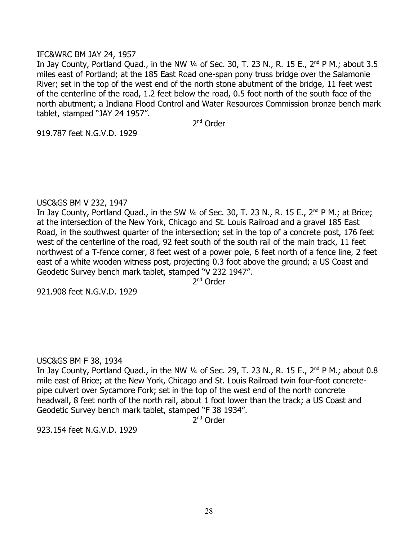### IFC&WRC BM JAY 24, 1957

In Jay County, Portland Quad., in the NW  $\frac{1}{4}$  of Sec. 30, T. 23 N., R. 15 E., 2<sup>nd</sup> P M.; about 3.5 miles east of Portland; at the 185 East Road one-span pony truss bridge over the Salamonie River; set in the top of the west end of the north stone abutment of the bridge, 11 feet west of the centerline of the road, 1.2 feet below the road, 0.5 foot north of the south face of the north abutment; a Indiana Flood Control and Water Resources Commission bronze bench mark tablet, stamped "JAY 24 1957".

2<sup>nd</sup> Order

919.787 feet N.G.V.D. 1929

## USC&GS BM V 232, 1947

In Jay County, Portland Quad., in the SW  $\frac{1}{4}$  of Sec. 30, T. 23 N., R. 15 E.,  $2^{nd}$  P M.; at Brice; at the intersection of the New York, Chicago and St. Louis Railroad and a gravel 185 East Road, in the southwest quarter of the intersection; set in the top of a concrete post, 176 feet west of the centerline of the road, 92 feet south of the south rail of the main track, 11 feet northwest of a T-fence corner, 8 feet west of a power pole, 6 feet north of a fence line, 2 feet east of a white wooden witness post, projecting 0.3 foot above the ground; a US Coast and Geodetic Survey bench mark tablet, stamped "V 232 1947".

2<sup>nd</sup> Order

921.908 feet N.G.V.D. 1929

## USC&GS BM F 38, 1934

In Jay County, Portland Quad., in the NW 1/4 of Sec. 29, T. 23 N., R. 15 E., 2<sup>nd</sup> P M.; about 0.8 mile east of Brice; at the New York, Chicago and St. Louis Railroad twin four-foot concretepipe culvert over Sycamore Fork; set in the top of the west end of the north concrete headwall, 8 feet north of the north rail, about 1 foot lower than the track; a US Coast and Geodetic Survey bench mark tablet, stamped "F 38 1934".

2<sup>nd</sup> Order

923.154 feet N.G.V.D. 1929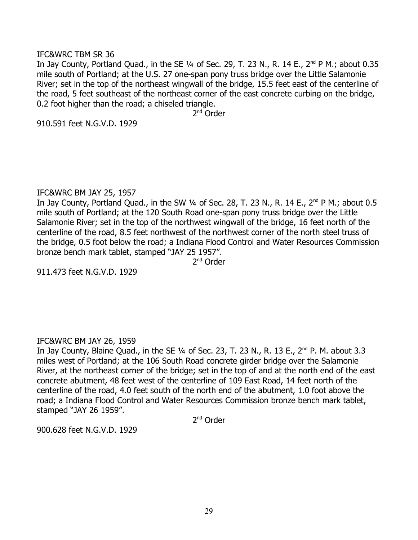#### IFC&WRC TBM SR 36

In Jay County, Portland Quad., in the SE  $\frac{1}{4}$  of Sec. 29, T. 23 N., R. 14 E., 2<sup>nd</sup> P M.; about 0.35 mile south of Portland; at the U.S. 27 one-span pony truss bridge over the Little Salamonie River; set in the top of the northeast wingwall of the bridge, 15.5 feet east of the centerline of the road, 5 feet southeast of the northeast corner of the east concrete curbing on the bridge, 0.2 foot higher than the road; a chiseled triangle.

2<sup>nd</sup> Order

910.591 feet N.G.V.D. 1929

#### IFC&WRC BM JAY 25, 1957

In Jay County, Portland Quad., in the SW  $\frac{1}{4}$  of Sec. 28, T. 23 N., R. 14 E., 2<sup>nd</sup> P M.; about 0.5 mile south of Portland; at the 120 South Road one-span pony truss bridge over the Little Salamonie River; set in the top of the northwest wingwall of the bridge, 16 feet north of the centerline of the road, 8.5 feet northwest of the northwest corner of the north steel truss of the bridge, 0.5 foot below the road; a Indiana Flood Control and Water Resources Commission bronze bench mark tablet, stamped "JAY 25 1957".

2<sup>nd</sup> Order

911.473 feet N.G.V.D. 1929

## IFC&WRC BM JAY 26, 1959

In Jay County, Blaine Quad., in the SE  $\frac{1}{4}$  of Sec. 23, T. 23 N., R. 13 E., 2<sup>nd</sup> P. M. about 3.3 miles west of Portland; at the 106 South Road concrete girder bridge over the Salamonie River, at the northeast corner of the bridge; set in the top of and at the north end of the east concrete abutment, 48 feet west of the centerline of 109 East Road, 14 feet north of the centerline of the road, 4.0 feet south of the north end of the abutment, 1.0 foot above the road; a Indiana Flood Control and Water Resources Commission bronze bench mark tablet, stamped "JAY 26 1959".

2<sup>nd</sup> Order

900.628 feet N.G.V.D. 1929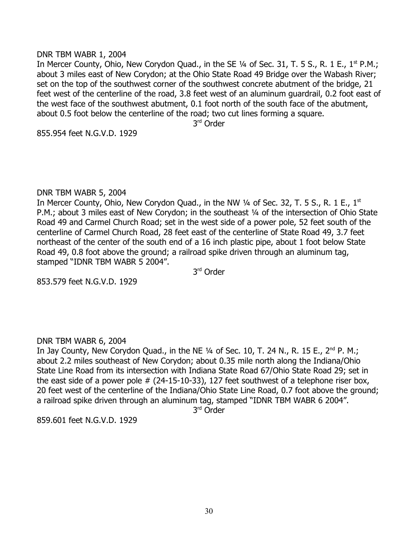### DNR TBM WABR 1, 2004

In Mercer County, Ohio, New Corydon Quad., in the SE  $\frac{1}{4}$  of Sec. 31, T. 5 S., R. 1 E., 1<sup>st</sup> P.M.; about 3 miles east of New Corydon; at the Ohio State Road 49 Bridge over the Wabash River; set on the top of the southwest corner of the southwest concrete abutment of the bridge, 21 feet west of the centerline of the road, 3.8 feet west of an aluminum guardrail, 0.2 foot east of the west face of the southwest abutment, 0.1 foot north of the south face of the abutment, about 0.5 foot below the centerline of the road; two cut lines forming a square.

3<sup>rd</sup> Order

855.954 feet N.G.V.D. 1929

#### DNR TBM WABR 5, 2004

In Mercer County, Ohio, New Corydon Quad., in the NW  $\frac{1}{4}$  of Sec. 32, T. 5 S., R. 1 E., 1<sup>st</sup> P.M.; about 3 miles east of New Corydon; in the southeast 1/4 of the intersection of Ohio State Road 49 and Carmel Church Road; set in the west side of a power pole, 52 feet south of the centerline of Carmel Church Road, 28 feet east of the centerline of State Road 49, 3.7 feet northeast of the center of the south end of a 16 inch plastic pipe, about 1 foot below State Road 49, 0.8 foot above the ground; a railroad spike driven through an aluminum tag, stamped "IDNR TBM WABR 5 2004".

3<sup>rd</sup> Order

853.579 feet N.G.V.D. 1929

## DNR TBM WABR 6, 2004

In Jay County, New Corydon Quad., in the NE  $\frac{1}{4}$  of Sec. 10, T. 24 N., R. 15 E., 2<sup>nd</sup> P. M.; about 2.2 miles southeast of New Corydon; about 0.35 mile north along the Indiana/Ohio State Line Road from its intersection with Indiana State Road 67/Ohio State Road 29; set in the east side of a power pole # (24-15-10-33), 127 feet southwest of a telephone riser box, 20 feet west of the centerline of the Indiana/Ohio State Line Road, 0.7 foot above the ground; a railroad spike driven through an aluminum tag, stamped "IDNR TBM WABR 6 2004".

3 rd Order

859.601 feet N.G.V.D. 1929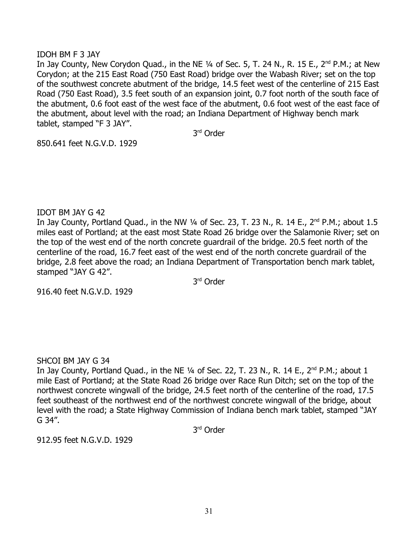## IDOH BM F 3 JAY

In Jay County, New Corydon Quad., in the NE  $\frac{1}{4}$  of Sec. 5, T. 24 N., R. 15 E., 2<sup>nd</sup> P.M.; at New Corydon; at the 215 East Road (750 East Road) bridge over the Wabash River; set on the top of the southwest concrete abutment of the bridge, 14.5 feet west of the centerline of 215 East Road (750 East Road), 3.5 feet south of an expansion joint, 0.7 foot north of the south face of the abutment, 0.6 foot east of the west face of the abutment, 0.6 foot west of the east face of the abutment, about level with the road; an Indiana Department of Highway bench mark tablet, stamped "F 3 JAY".

3 rd Order

850.641 feet N.G.V.D. 1929

## IDOT BM JAY G 42

In Jay County, Portland Quad., in the NW  $\frac{1}{4}$  of Sec. 23, T. 23 N., R. 14 E., 2<sup>nd</sup> P.M.; about 1.5 miles east of Portland; at the east most State Road 26 bridge over the Salamonie River; set on the top of the west end of the north concrete guardrail of the bridge. 20.5 feet north of the centerline of the road, 16.7 feet east of the west end of the north concrete guardrail of the bridge, 2.8 feet above the road; an Indiana Department of Transportation bench mark tablet, stamped "JAY G 42".

3 rd Order

916.40 feet N.G.V.D. 1929

## SHCOI BM JAY G 34

In Jay County, Portland Quad., in the NE 1/4 of Sec. 22, T. 23 N., R. 14 E., 2<sup>nd</sup> P.M.; about 1 mile East of Portland; at the State Road 26 bridge over Race Run Ditch; set on the top of the northwest concrete wingwall of the bridge, 24.5 feet north of the centerline of the road, 17.5 feet southeast of the northwest end of the northwest concrete wingwall of the bridge, about level with the road; a State Highway Commission of Indiana bench mark tablet, stamped "JAY G 34".

3 rd Order

912.95 feet N.G.V.D. 1929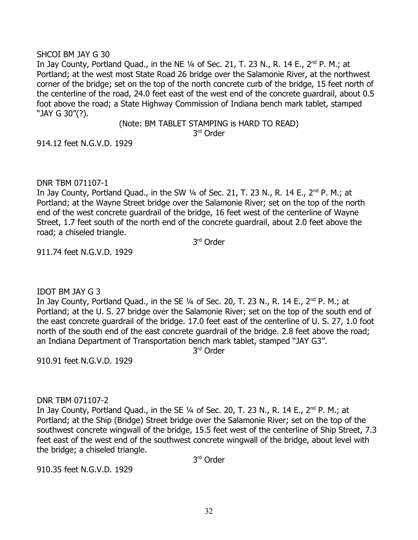## SHCOI BM JAY G 30

In Jay County, Portland Quad., in the NE  $\frac{1}{4}$  of Sec. 21, T. 23 N., R. 14 E., 2<sup>nd</sup> P. M.; at Portland; at the west most State Road 26 bridge over the Salamonie River, at the northwest corner of the bridge; set on the top of the north concrete curb of the bridge, 15 feet north of the centerline of the road, 24.0 feet east of the west end of the concrete guardrail, about 0.5 foot above the road; a State Highway Commission of Indiana bench mark tablet, stamped "JAY G 30"(?).

(Note: BM TABLET STAMPING is HARD TO READ)

3 rd Order

914.12 feet N.G.V.D. 1929

## DNR TBM 071107-1

In Jay County, Portland Quad., in the SW  $\frac{1}{4}$  of Sec. 21, T. 23 N., R. 14 E., 2<sup>nd</sup> P. M.; at Portland; at the Wayne Street bridge over the Salamonie River; set on the top of the north end of the west concrete guardrail of the bridge, 16 feet west of the centerline of Wayne Street, 1.7 feet south of the north end of the concrete guardrail, about 2.0 feet above the road; a chiseled triangle.

3<sup>rd</sup> Order

911.74 feet N.G.V.D. 1929

# IDOT BM JAY G 3

In Jay County, Portland Quad., in the SE  $\frac{1}{4}$  of Sec. 20, T. 23 N., R. 14 E., 2<sup>nd</sup> P. M.; at Portland; at the U. S. 27 bridge over the Salamonie River; set on the top of the south end of the east concrete guardrail of the bridge. 17.0 feet east of the centerline of U. S. 27, 1.0 foot north of the south end of the east concrete guardrail of the bridge. 2.8 feet above the road; an Indiana Department of Transportation bench mark tablet, stamped "JAY G3".

3 rd Order

910.91 feet N.G.V.D. 1929

## DNR TBM 071107-2

In Jay County, Portland Quad., in the SE 1/4 of Sec. 20, T. 23 N., R. 14 E., 2<sup>nd</sup> P. M.; at Portland; at the Ship (Bridge) Street bridge over the Salamonie River; set on the top of the southwest concrete wingwall of the bridge, 15.5 feet west of the centerline of Ship Street, 7.3 feet east of the west end of the southwest concrete wingwall of the bridge, about level with the bridge; a chiseled triangle.

3 rd Order

910.35 feet N.G.V.D. 1929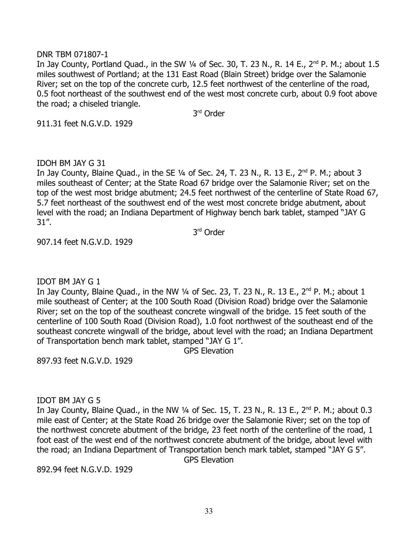### DNR TBM 071807-1

In Jay County, Portland Quad., in the SW  $\frac{1}{4}$  of Sec. 30, T. 23 N., R. 14 E.,  $2^{nd}$  P. M.; about 1.5 miles southwest of Portland; at the 131 East Road (Blain Street) bridge over the Salamonie River; set on the top of the concrete curb, 12.5 feet northwest of the centerline of the road, 0.5 foot northeast of the southwest end of the west most concrete curb, about 0.9 foot above the road; a chiseled triangle.

3 rd Order

911.31 feet N.G.V.D. 1929

IDOH BM JAY G 31

In Jay County, Blaine Quad., in the SE 1/4 of Sec. 24, T. 23 N., R. 13 E., 2<sup>nd</sup> P. M.; about 3 miles southeast of Center; at the State Road 67 bridge over the Salamonie River; set on the top of the west most bridge abutment; 24.5 feet northwest of the centerline of State Road 67, 5.7 feet northeast of the southwest end of the west most concrete bridge abutment, about level with the road; an Indiana Department of Highway bench bark tablet, stamped "JAY G 31".

3 rd Order

907.14 feet N.G.V.D. 1929

IDOT BM JAY G 1

In Jay County, Blaine Quad., in the NW  $\frac{1}{4}$  of Sec. 23, T. 23 N., R. 13 E.,  $2^{nd}$  P. M.; about 1 mile southeast of Center; at the 100 South Road (Division Road) bridge over the Salamonie River; set on the top of the southeast concrete wingwall of the bridge. 15 feet south of the centerline of 100 South Road (Division Road), 1.0 foot northwest of the southeast end of the southeast concrete wingwall of the bridge, about level with the road; an Indiana Department of Transportation bench mark tablet, stamped "JAY G 1".

GPS Elevation

897.93 feet N.G.V.D. 1929

IDOT BM JAY G 5

In Jay County, Blaine Quad., in the NW 1/4 of Sec. 15, T. 23 N., R. 13 E., 2<sup>nd</sup> P. M.; about 0.3 mile east of Center; at the State Road 26 bridge over the Salamonie River; set on the top of the northwest concrete abutment of the bridge, 23 feet north of the centerline of the road, 1 foot east of the west end of the northwest concrete abutment of the bridge, about level with the road; an Indiana Department of Transportation bench mark tablet, stamped "JAY G 5". GPS Elevation

892.94 feet N.G.V.D. 1929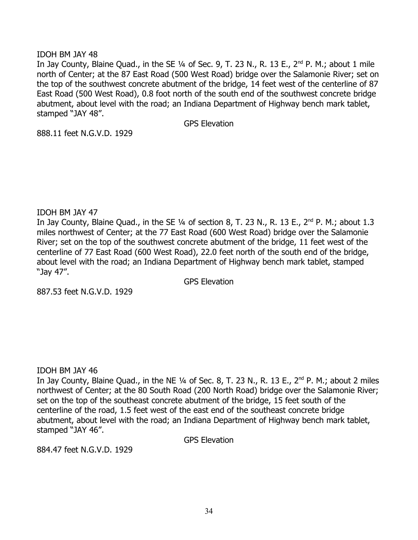## IDOH BM JAY 48

In Jay County, Blaine Quad., in the SE  $\frac{1}{4}$  of Sec. 9, T. 23 N., R. 13 E., 2<sup>nd</sup> P. M.; about 1 mile north of Center; at the 87 East Road (500 West Road) bridge over the Salamonie River; set on the top of the southwest concrete abutment of the bridge, 14 feet west of the centerline of 87 East Road (500 West Road), 0.8 foot north of the south end of the southwest concrete bridge abutment, about level with the road; an Indiana Department of Highway bench mark tablet, stamped "JAY 48".

GPS Elevation

888.11 feet N.G.V.D. 1929

#### IDOH BM JAY 47

In Jay County, Blaine Quad., in the SE 1/4 of section 8, T. 23 N., R. 13 E., 2<sup>nd</sup> P. M.; about 1.3 miles northwest of Center; at the 77 East Road (600 West Road) bridge over the Salamonie River; set on the top of the southwest concrete abutment of the bridge, 11 feet west of the centerline of 77 East Road (600 West Road), 22.0 feet north of the south end of the bridge, about level with the road; an Indiana Department of Highway bench mark tablet, stamped "Jay 47".

GPS Elevation

887.53 feet N.G.V.D. 1929

## IDOH BM JAY 46

In Jay County, Blaine Quad., in the NE  $\frac{1}{4}$  of Sec. 8, T. 23 N., R. 13 E.,  $2^{nd}$  P. M.; about 2 miles northwest of Center; at the 80 South Road (200 North Road) bridge over the Salamonie River; set on the top of the southeast concrete abutment of the bridge, 15 feet south of the centerline of the road, 1.5 feet west of the east end of the southeast concrete bridge abutment, about level with the road; an Indiana Department of Highway bench mark tablet, stamped "JAY 46".

GPS Elevation

884.47 feet N.G.V.D. 1929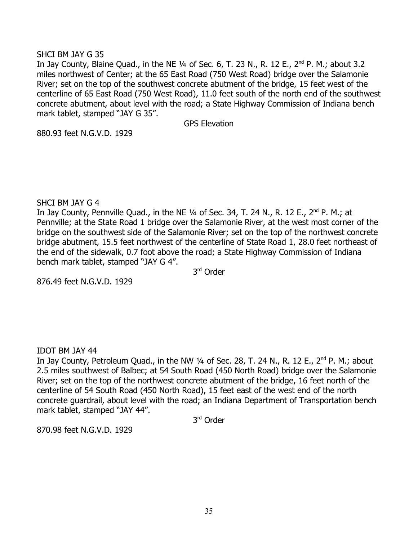## SHCI BM JAY G 35

In Jay County, Blaine Quad., in the NE  $\frac{1}{4}$  of Sec. 6, T. 23 N., R. 12 E., 2<sup>nd</sup> P. M.; about 3.2 miles northwest of Center; at the 65 East Road (750 West Road) bridge over the Salamonie River; set on the top of the southwest concrete abutment of the bridge, 15 feet west of the centerline of 65 East Road (750 West Road), 11.0 feet south of the north end of the southwest concrete abutment, about level with the road; a State Highway Commission of Indiana bench mark tablet, stamped "JAY G 35".

GPS Elevation

880.93 feet N.G.V.D. 1929

SHCI BM JAY G 4

In Jay County, Pennville Quad., in the NE  $\frac{1}{4}$  of Sec. 34, T. 24 N., R. 12 E., 2<sup>nd</sup> P. M.; at Pennville; at the State Road 1 bridge over the Salamonie River, at the west most corner of the bridge on the southwest side of the Salamonie River; set on the top of the northwest concrete bridge abutment, 15.5 feet northwest of the centerline of State Road 1, 28.0 feet northeast of the end of the sidewalk, 0.7 foot above the road; a State Highway Commission of Indiana bench mark tablet, stamped "JAY G 4".

3<sup>rd</sup> Order

876.49 feet N.G.V.D. 1929

IDOT BM JAY 44

In Jay County, Petroleum Quad., in the NW  $\frac{1}{4}$  of Sec. 28, T. 24 N., R. 12 E., 2<sup>nd</sup> P. M.; about 2.5 miles southwest of Balbec; at 54 South Road (450 North Road) bridge over the Salamonie River; set on the top of the northwest concrete abutment of the bridge, 16 feet north of the centerline of 54 South Road (450 North Road), 15 feet east of the west end of the north concrete guardrail, about level with the road; an Indiana Department of Transportation bench mark tablet, stamped "JAY 44".

3<sup>rd</sup> Order

870.98 feet N.G.V.D. 1929